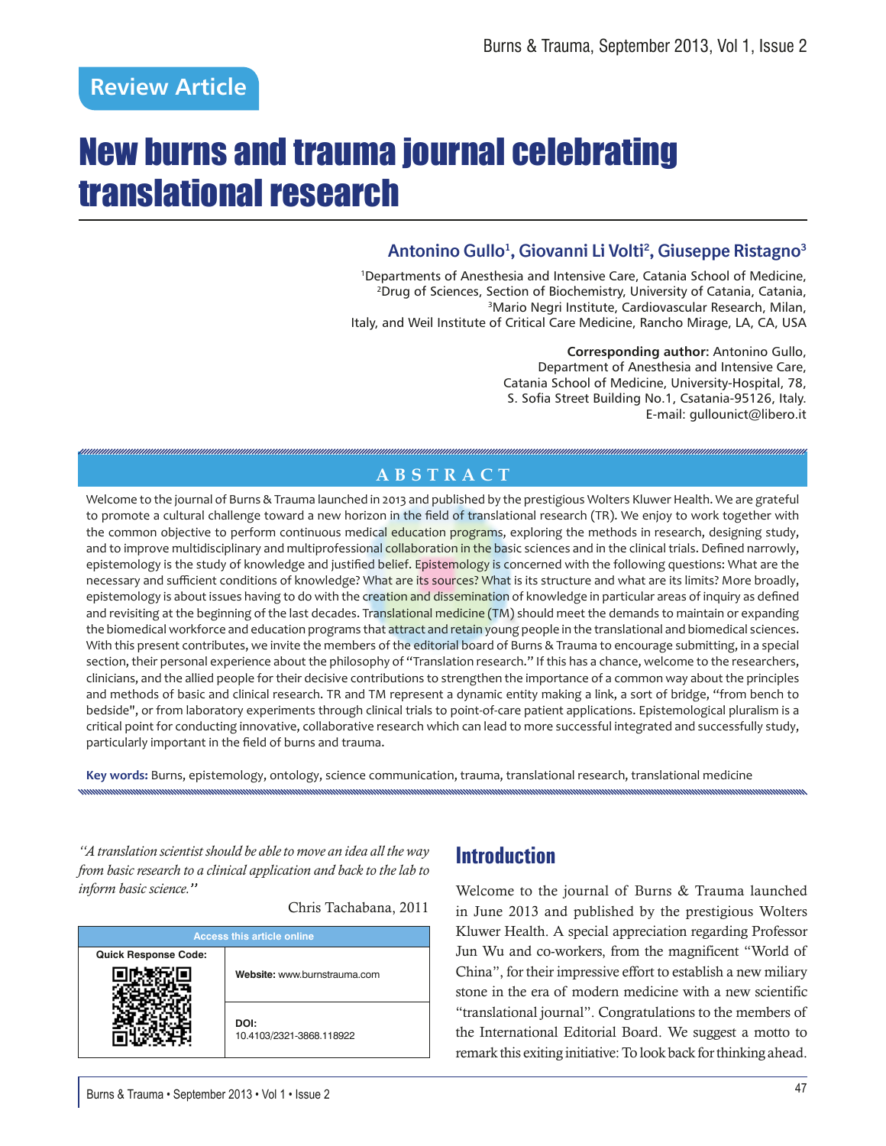# New burns and trauma journal celebrating translational research

#### **Antonino Gullo1 , Giovanni Li Volti2 , Giuseppe Ristagno3**

1Departments of Anesthesia and Intensive Care, Catania School of Medicine, 2Drug of Sciences, Section of Biochemistry, University of Catania, Catania, 3Mario Negri Institute, Cardiovascular Research, Milan, Italy, and Weil Institute of Critical Care Medicine, Rancho Mirage, LA, CA, USA

> **Corresponding author:** Antonino Gullo, Department of Anesthesia and Intensive Care, Catania School of Medicine, University-Hospital, 78, S. Sofia Street Building No.1, Csatania-95126, Italy. E-mail: gullounict@libero.it

#### **ABSTRACT**

Welcome to the journal of Burns & Trauma launched in 2013 and published by the prestigious Wolters Kluwer Health. We are grateful to promote a cultural challenge toward a new horizon in the field of translational research (TR). We enjoy to work together with the common objective to perform continuous medical education programs, exploring the methods in research, designing study, and to improve multidisciplinary and multiprofessional collaboration in the basic sciences and in the clinical trials. Defined narrowly, epistemology is the study of knowledge and justified belief. Epistemology is concerned with the following questions: What are the necessary and sufficient conditions of knowledge? What are its sources? What is its structure and what are its limits? More broadly, epistemology is about issues having to do with the creation and dissemination of knowledge in particular areas of inquiry as defined and revisiting at the beginning of the last decades. Translational medicine (TM) should meet the demands to maintain or expanding the biomedical workforce and education programs that attract and retain young people in the translational and biomedical sciences. With this present contributes, we invite the members of the editorial board of Burns & Trauma to encourage submitting, in a special section, their personal experience about the philosophy of "Translation research." If this has a chance, welcome to the researchers, clinicians, and the allied people for their decisive contributions to strengthen the importance of a common way about the principles and methods of basic and clinical research. TR and TM represent a dynamic entity making a link, a sort of bridge, "from bench to bedside", or from laboratory experiments through clinical trials to point-of-care patient applications. Epistemological pluralism is a critical point for conducting innovative, collaborative research which can lead to more successful integrated and successfully study, particularly important in the field of burns and trauma.

**Key words:** Burns, epistemology, ontology, science communication, trauma, translational research, translational medicine

*''A translation scientist should be able to move an idea all the way from basic research to a clinical application and back to the lab to inform basic science.''*

Chris Tachabana, 2011

| <b>Access this article online</b> |                                  |
|-----------------------------------|----------------------------------|
| <b>Quick Response Code:</b>       | Website: www.burnstrauma.com     |
|                                   | DOI:<br>10.4103/2321-3868.118922 |

## **Introduction**

Welcome to the journal of Burns & Trauma launched in June 2013 and published by the prestigious Wolters Kluwer Health. A special appreciation regarding Professor Jun Wu and co-workers, from the magnificent "World of China", for their impressive effort to establish a new miliary stone in the era of modern medicine with a new scientific "translational journal". Congratulations to the members of the International Editorial Board. We suggest a motto to remark this exiting initiative: To look back for thinking ahead.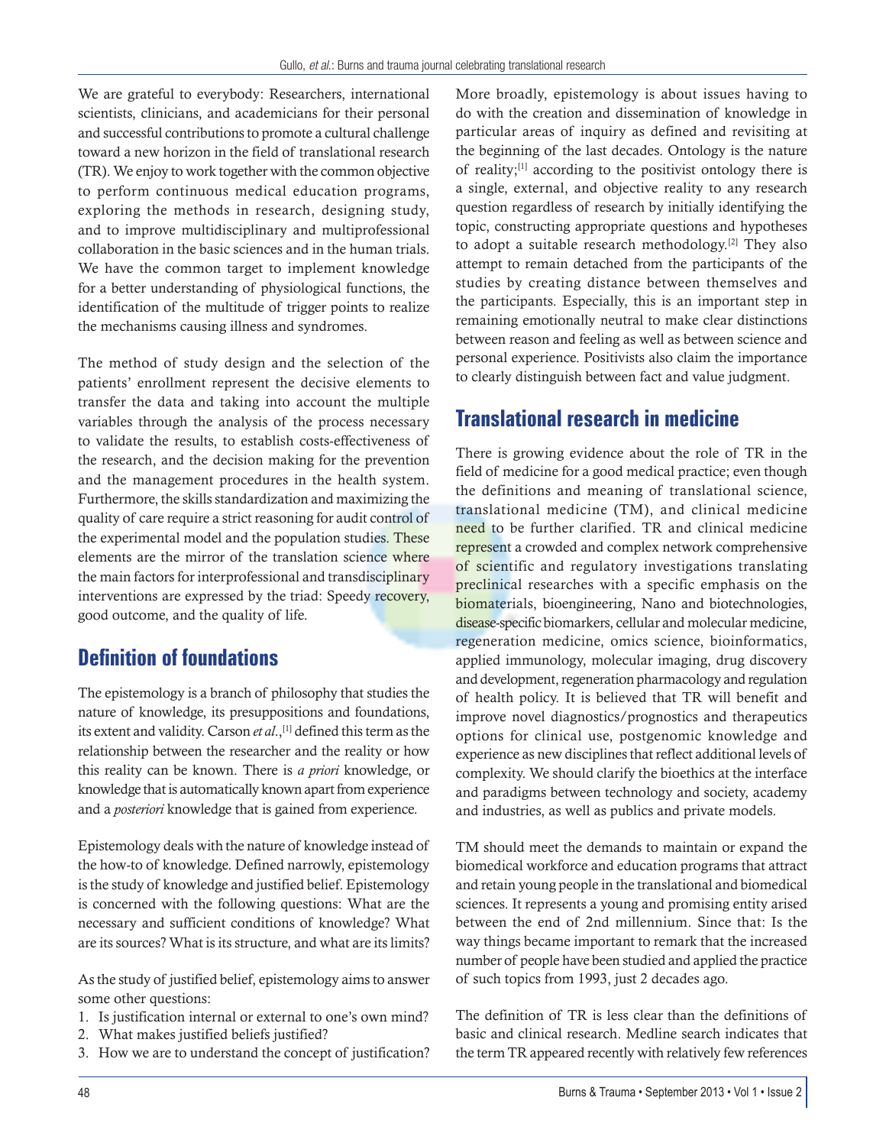We are grateful to everybody: Researchers, international scientists, clinicians, and academicians for their personal and successful contributions to promote a cultural challenge toward a new horizon in the field of translational research (TR). We enjoy to work together with the common objective to perform continuous medical education programs, exploring the methods in research, designing study, and to improve multidisciplinary and multiprofessional collaboration in the basic sciences and in the human trials. We have the common target to implement knowledge for a better understanding of physiological functions, the identification of the multitude of trigger points to realize the mechanisms causing illness and syndromes.

The method of study design and the selection of the patients' enrollment represent the decisive elements to transfer the data and taking into account the multiple variables through the analysis of the process necessary to validate the results, to establish costs-effectiveness of the research, and the decision making for the prevention and the management procedures in the health system. Furthermore, the skills standardization and maximizing the quality of care require a strict reasoning for audit control of the experimental model and the population studies. These elements are the mirror of the translation science where the main factors for interprofessional and transdisciplinary interventions are expressed by the triad: Speedy recovery, good outcome, and the quality of life.

# **Definition of foundations**

The epistemology is a branch of philosophy that studies the nature of knowledge, its presuppositions and foundations, its extent and validity. Carson *et al.*,<sup>[1]</sup> defined this term as the relationship between the researcher and the reality or how this reality can be known. There is *a priori* knowledge, or knowledge that is automatically known apart from experience and a *posteriori* knowledge that is gained from experience.

Epistemology deals with the nature of knowledge instead of the how-to of knowledge. Defined narrowly, epistemology is the study of knowledge and justified belief. Epistemology is concerned with the following questions: What are the necessary and sufficient conditions of knowledge? What are its sources? What is its structure, and what are its limits?

As the study of justified belief, epistemology aims to answer some other questions:

- 1. Is justification internal or external to one's own mind?
- 2. What makes justified beliefs justified?
- 3. How we are to understand the concept of justification?

More broadly, epistemology is about issues having to do with the creation and dissemination of knowledge in particular areas of inquiry as defined and revisiting at the beginning of the last decades. Ontology is the nature of reality;[1] according to the positivist ontology there is a single, external, and objective reality to any research question regardless of research by initially identifying the topic, constructing appropriate questions and hypotheses to adopt a suitable research methodology.[2] They also attempt to remain detached from the participants of the studies by creating distance between themselves and the participants. Especially, this is an important step in remaining emotionally neutral to make clear distinctions between reason and feeling as well as between science and personal experience. Positivists also claim the importance to clearly distinguish between fact and value judgment.

# **Translational research in medicine**

There is growing evidence about the role of TR in the field of medicine for a good medical practice; even though the definitions and meaning of translational science, translational medicine (TM), and clinical medicine need to be further clarified. TR and clinical medicine represent a crowded and complex network comprehensive of scientific and regulatory investigations translating preclinical researches with a specific emphasis on the biomaterials, bioengineering, Nano and biotechnologies, disease-specific biomarkers, cellular and molecular medicine, regeneration medicine, omics science, bioinformatics, applied immunology, molecular imaging, drug discovery and development, regeneration pharmacology and regulation of health policy. It is believed that TR will benefit and improve novel diagnostics/prognostics and therapeutics options for clinical use, postgenomic knowledge and experience as new disciplines that reflect additional levels of complexity. We should clarify the bioethics at the interface and paradigms between technology and society, academy and industries, as well as publics and private models.

TM should meet the demands to maintain or expand the biomedical workforce and education programs that attract and retain young people in the translational and biomedical sciences. It represents a young and promising entity arised between the end of 2nd millennium. Since that: Is the way things became important to remark that the increased number of people have been studied and applied the practice of such topics from 1993, just 2 decades ago.

The definition of TR is less clear than the definitions of basic and clinical research. Medline search indicates that the term TR appeared recently with relatively few references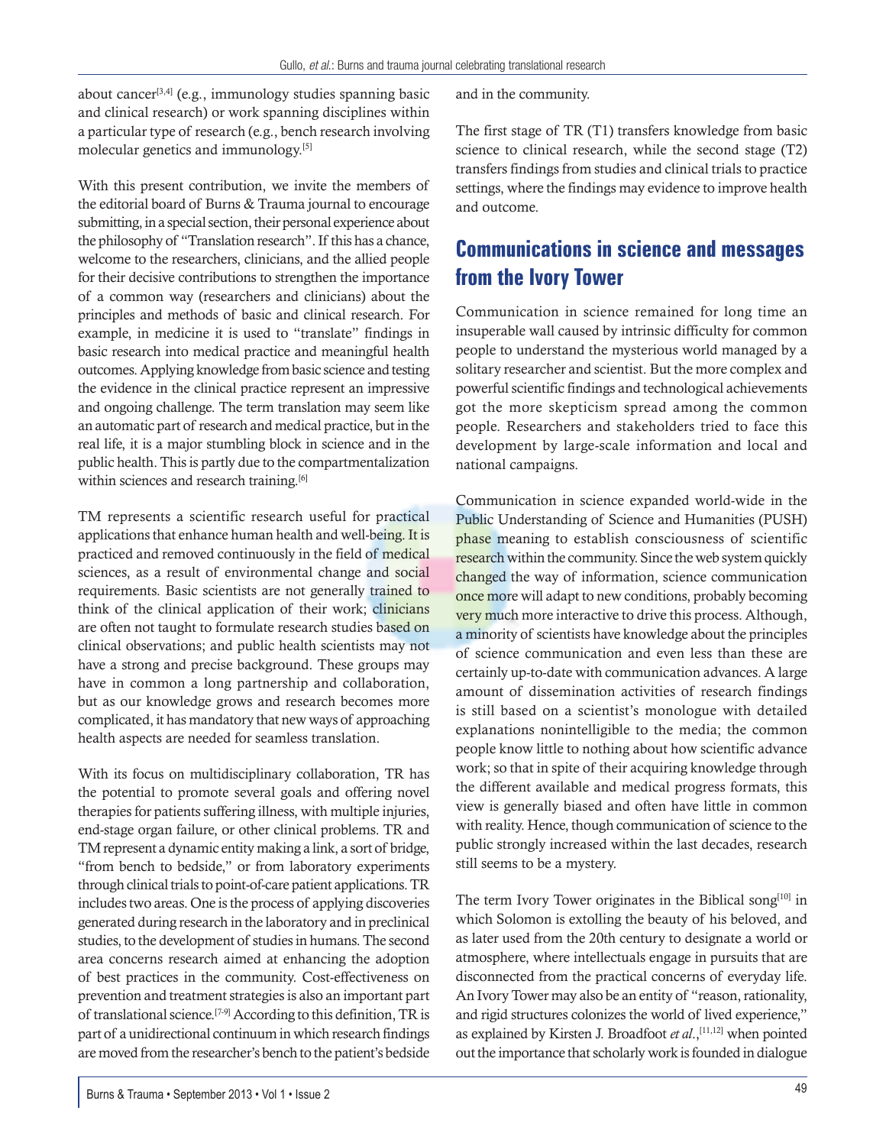about cancer<sup>[3,4]</sup> (e.g., immunology studies spanning basic and clinical research) or work spanning disciplines within a particular type of research (e.g., bench research involving molecular genetics and immunology.[5]

With this present contribution, we invite the members of the editorial board of Burns & Trauma journal to encourage submitting, in a special section, their personal experience about the philosophy of "Translation research". If this has a chance, welcome to the researchers, clinicians, and the allied people for their decisive contributions to strengthen the importance of a common way (researchers and clinicians) about the principles and methods of basic and clinical research. For example, in medicine it is used to "translate" findings in basic research into medical practice and meaningful health outcomes. Applying knowledge from basic science and testing the evidence in the clinical practice represent an impressive and ongoing challenge. The term translation may seem like an automatic part of research and medical practice, but in the real life, it is a major stumbling block in science and in the public health. This is partly due to the compartmentalization within sciences and research training.<sup>[6]</sup>

TM represents a scientific research useful for practical applications that enhance human health and well-being. It is practiced and removed continuously in the field of medical sciences, as a result of environmental change and social requirements. Basic scientists are not generally trained to think of the clinical application of their work; clinicians are often not taught to formulate research studies based on clinical observations; and public health scientists may not have a strong and precise background. These groups may have in common a long partnership and collaboration, but as our knowledge grows and research becomes more complicated, it has mandatory that new ways of approaching health aspects are needed for seamless translation.

With its focus on multidisciplinary collaboration, TR has the potential to promote several goals and offering novel therapies for patients suffering illness, with multiple injuries, end-stage organ failure, or other clinical problems. TR and TM represent a dynamic entity making a link, a sort of bridge, "from bench to bedside," or from laboratory experiments through clinical trials to point-of-care patient applications. TR includes two areas. One is the process of applying discoveries generated during research in the laboratory and in preclinical studies, to the development of studies in humans. The second area concerns research aimed at enhancing the adoption of best practices in the community. Cost-effectiveness on prevention and treatment strategies is also an important part of translational science.[7-9] According to this definition, TR is part of a unidirectional continuum in which research findings are moved from the researcher's bench to the patient's bedside

and in the community.

The first stage of TR (T1) transfers knowledge from basic science to clinical research, while the second stage (T2) transfers findings from studies and clinical trials to practice settings, where the findings may evidence to improve health and outcome.

## **Communications in science and messages from the Ivory Tower**

Communication in science remained for long time an insuperable wall caused by intrinsic difficulty for common people to understand the mysterious world managed by a solitary researcher and scientist. But the more complex and powerful scientific findings and technological achievements got the more skepticism spread among the common people. Researchers and stakeholders tried to face this development by large-scale information and local and national campaigns.

Communication in science expanded world-wide in the Public Understanding of Science and Humanities (PUSH) phase meaning to establish consciousness of scientific research within the community. Since the web system quickly changed the way of information, science communication once more will adapt to new conditions, probably becoming very much more interactive to drive this process. Although, a minority of scientists have knowledge about the principles of science communication and even less than these are certainly up-to-date with communication advances. A large amount of dissemination activities of research findings is still based on a scientist's monologue with detailed explanations nonintelligible to the media; the common people know little to nothing about how scientific advance work; so that in spite of their acquiring knowledge through the different available and medical progress formats, this view is generally biased and often have little in common with reality. Hence, though communication of science to the public strongly increased within the last decades, research still seems to be a mystery.

The term Ivory Tower originates in the Biblical song<sup>[10]</sup> in which Solomon is extolling the beauty of his beloved, and as later used from the 20th century to designate a world or atmosphere, where intellectuals engage in pursuits that are disconnected from the practical concerns of everyday life. An Ivory Tower may also be an entity of "reason, rationality, and rigid structures colonizes the world of lived experience," as explained by Kirsten J. Broadfoot *et al*.,[11,12] when pointed out the importance that scholarly work is founded in dialogue